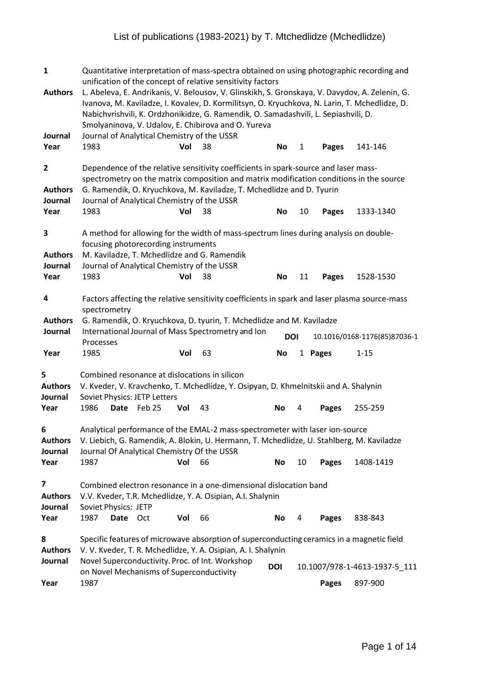| $\mathbf{1}$                                                                | Quantitative interpretation of mass-spectra obtained on using photographic recording and<br>unification of the concept of relative sensitivity factors                                                                                                                                                                                                                      |          |                                     |     |                                                                                                                                                                                                                          |            |              |              |                                                                                                                                                                                                 |  |  |  |  |
|-----------------------------------------------------------------------------|-----------------------------------------------------------------------------------------------------------------------------------------------------------------------------------------------------------------------------------------------------------------------------------------------------------------------------------------------------------------------------|----------|-------------------------------------|-----|--------------------------------------------------------------------------------------------------------------------------------------------------------------------------------------------------------------------------|------------|--------------|--------------|-------------------------------------------------------------------------------------------------------------------------------------------------------------------------------------------------|--|--|--|--|
| <b>Authors</b><br>Journal                                                   |                                                                                                                                                                                                                                                                                                                                                                             |          |                                     |     | Nabichvrishvili, K. Ordzhonikidze, G. Ramendik, O. Samadashvili, L. Sepiashvili, D.<br>Smolyaninova, V. Udalov, E. Chibirova and O. Yureva<br>Journal of Analytical Chemistry of the USSR                                |            |              |              | L. Abeleva, E. Andrikanis, V. Belousov, V. Glinskikh, S. Gronskaya, V. Davydov, A. Zelenin, G.<br>Ivanova, M. Kaviladze, I. Kovalev, D. Kormilitsyn, O. Kryuchkova, N. Larin, T. Mchedlidze, D. |  |  |  |  |
| Year                                                                        | 1983                                                                                                                                                                                                                                                                                                                                                                        |          |                                     | Vol | 38                                                                                                                                                                                                                       | No         | $\mathbf{1}$ | <b>Pages</b> | 141-146                                                                                                                                                                                         |  |  |  |  |
| $\overline{\mathbf{c}}$<br><b>Authors</b><br>Journal                        | Dependence of the relative sensitivity coefficients in spark-source and laser mass-<br>spectrometry on the matrix composition and matrix modification conditions in the source<br>G. Ramendik, O. Kryuchkova, M. Kaviladze, T. Mchedlidze and D. Tyurin<br>Journal of Analytical Chemistry of the USSR<br>1983<br>38<br>Vol<br><b>No</b><br>10<br>1333-1340<br><b>Pages</b> |          |                                     |     |                                                                                                                                                                                                                          |            |              |              |                                                                                                                                                                                                 |  |  |  |  |
| Year                                                                        |                                                                                                                                                                                                                                                                                                                                                                             |          |                                     |     |                                                                                                                                                                                                                          |            |              |              |                                                                                                                                                                                                 |  |  |  |  |
| 3<br><b>Authors</b><br>Journal                                              |                                                                                                                                                                                                                                                                                                                                                                             |          | focusing photorecording instruments |     | A method for allowing for the width of mass-spectrum lines during analysis on double-<br>M. Kaviladze, T. Mchedlidze and G. Ramendik<br>Journal of Analytical Chemistry of the USSR                                      |            |              |              |                                                                                                                                                                                                 |  |  |  |  |
| Year                                                                        | 1983                                                                                                                                                                                                                                                                                                                                                                        |          |                                     | Vol | 38                                                                                                                                                                                                                       | <b>No</b>  | 11           | <b>Pages</b> | 1528-1530                                                                                                                                                                                       |  |  |  |  |
| 4<br><b>Authors</b>                                                         | spectrometry                                                                                                                                                                                                                                                                                                                                                                |          |                                     |     | G. Ramendik, O. Kryuchkova, D. tyurin, T. Mchedlidze and M. Kaviladze                                                                                                                                                    |            |              |              | Factors affecting the relative sensitivity coefficients in spark and laser plasma source-mass                                                                                                   |  |  |  |  |
| Journal                                                                     |                                                                                                                                                                                                                                                                                                                                                                             |          |                                     |     | International Journal of Mass Spectrometry and Ion                                                                                                                                                                       | <b>DOI</b> |              |              | 10.1016/0168-1176(85)87036-1                                                                                                                                                                    |  |  |  |  |
|                                                                             |                                                                                                                                                                                                                                                                                                                                                                             |          |                                     |     |                                                                                                                                                                                                                          |            |              |              |                                                                                                                                                                                                 |  |  |  |  |
| Year                                                                        | Processes<br>1985                                                                                                                                                                                                                                                                                                                                                           |          |                                     | Vol | 63                                                                                                                                                                                                                       | <b>No</b>  |              | 1 Pages      | $1 - 15$                                                                                                                                                                                        |  |  |  |  |
| 5<br><b>Authors</b><br>Journal                                              |                                                                                                                                                                                                                                                                                                                                                                             |          | Soviet Physics: JETP Letters        |     | Combined resonance at dislocations in silicon<br>V. Kveder, V. Kravchenko, T. Mchedlidze, Y. Osipyan, D. Khmelnitskii and A. Shalynin                                                                                    |            | 4            |              |                                                                                                                                                                                                 |  |  |  |  |
| Year                                                                        | 1986                                                                                                                                                                                                                                                                                                                                                                        | Date     | Feb 25                              | Vol | 43                                                                                                                                                                                                                       | No         |              | <b>Pages</b> | 255-259                                                                                                                                                                                         |  |  |  |  |
| 6<br><b>Authors</b>                                                         |                                                                                                                                                                                                                                                                                                                                                                             |          |                                     |     | Analytical performance of the EMAL-2 mass-spectrometer with laser ion-source<br>V. Liebich, G. Ramendik, A. Blokin, U. Hermann, T. Mchedlidze, U. Stahlberg, M. Kaviladze<br>Journal Of Analytical Chemistry Of the USSR |            |              |              |                                                                                                                                                                                                 |  |  |  |  |
|                                                                             | 1987                                                                                                                                                                                                                                                                                                                                                                        |          |                                     | Vol | 66                                                                                                                                                                                                                       | No         | 10           | Pages        | 1408-1419                                                                                                                                                                                       |  |  |  |  |
| 7                                                                           | Soviet Physics: JETP                                                                                                                                                                                                                                                                                                                                                        |          |                                     |     | Combined electron resonance in a one-dimensional dislocation band<br>V.V. Kveder, T.R. Mchedlidze, Y. A. Osipian, A.I. Shalynin                                                                                          |            |              |              |                                                                                                                                                                                                 |  |  |  |  |
|                                                                             | 1987                                                                                                                                                                                                                                                                                                                                                                        | Date Oct |                                     | Vol | 66                                                                                                                                                                                                                       | No         | 4            | Pages        | 838-843                                                                                                                                                                                         |  |  |  |  |
| Journal<br>Year<br><b>Authors</b><br>Journal<br>Year<br>8<br><b>Authors</b> |                                                                                                                                                                                                                                                                                                                                                                             |          |                                     |     | Specific features of microwave absorption of superconducting ceramics in a magnetic field<br>V. V. Kveder, T. R. Mchedlidze, Y. A. Osipian, A. I. Shalynin                                                               |            |              |              |                                                                                                                                                                                                 |  |  |  |  |
| Journal                                                                     |                                                                                                                                                                                                                                                                                                                                                                             |          |                                     |     | Novel Superconductivity. Proc. of Int. Workshop<br>on Novel Mechanisms of Superconductivity                                                                                                                              | <b>DOI</b> |              |              | 10.1007/978-1-4613-1937-5_111                                                                                                                                                                   |  |  |  |  |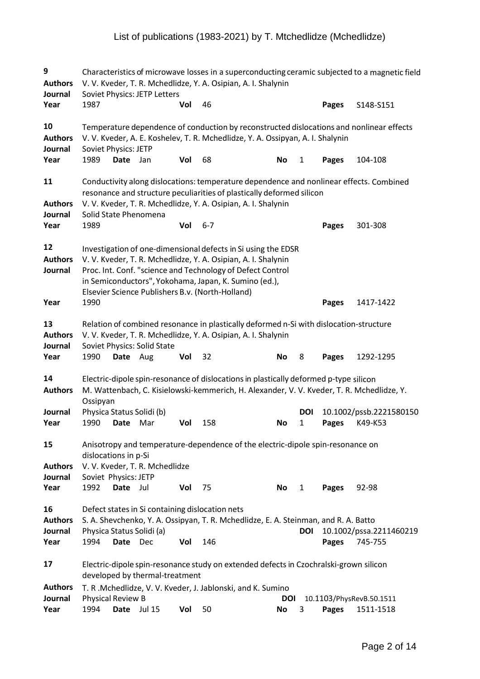| 9<br><b>Authors</b><br>Journal          | Characteristics of microwave losses in a superconducting ceramic subjected to a magnetic field<br>V. V. Kveder, T. R. Mchedlidze, Y. A. Osipian, A. I. Shalynin<br>Soviet Physics: JETP Letters |          |                                  |     |                                                                                                                                                                                                                                                                                                           |                  |              |              |                                       |  |  |  |
|-----------------------------------------|-------------------------------------------------------------------------------------------------------------------------------------------------------------------------------------------------|----------|----------------------------------|-----|-----------------------------------------------------------------------------------------------------------------------------------------------------------------------------------------------------------------------------------------------------------------------------------------------------------|------------------|--------------|--------------|---------------------------------------|--|--|--|
| Year                                    | 1987                                                                                                                                                                                            |          |                                  | Vol | 46                                                                                                                                                                                                                                                                                                        |                  |              | <b>Pages</b> | S148-S151                             |  |  |  |
| 10<br><b>Authors</b><br>Journal         | <b>Soviet Physics: JETP</b>                                                                                                                                                                     |          |                                  |     | Temperature dependence of conduction by reconstructed dislocations and nonlinear effects<br>V. V. Kveder, A. E. Koshelev, T. R. Mchedlidze, Y. A. Ossipyan, A. I. Shalynin                                                                                                                                |                  |              |              |                                       |  |  |  |
| Year                                    | 1989                                                                                                                                                                                            | Date     | Jan                              | Vol | 68                                                                                                                                                                                                                                                                                                        | No               | 1            | Pages        | 104-108                               |  |  |  |
| 11<br><b>Authors</b><br>Journal         |                                                                                                                                                                                                 |          | Solid State Phenomena            |     | Conductivity along dislocations: temperature dependence and nonlinear effects. Combined<br>resonance and structure peculiarities of plastically deformed silicon<br>V. V. Kveder, T. R. Mchedlidze, Y. A. Osipian, A. I. Shalynin                                                                         |                  |              |              |                                       |  |  |  |
| Year                                    | 1989                                                                                                                                                                                            |          |                                  | Vol | $6 - 7$                                                                                                                                                                                                                                                                                                   |                  |              | <b>Pages</b> | 301-308                               |  |  |  |
| 12<br><b>Authors</b><br>Journal         |                                                                                                                                                                                                 |          |                                  |     | Investigation of one-dimensional defects in Si using the EDSR<br>V. V. Kveder, T. R. Mchedlidze, Y. A. Osipian, A. I. Shalynin<br>Proc. Int. Conf. "science and Technology of Defect Control<br>in Semiconductors", Yokohama, Japan, K. Sumino (ed.),<br>Elsevier Science Publishers B.v. (North-Holland) |                  |              |              |                                       |  |  |  |
| Year                                    | 1990                                                                                                                                                                                            |          |                                  |     |                                                                                                                                                                                                                                                                                                           |                  |              | <b>Pages</b> | 1417-1422                             |  |  |  |
| 13<br><b>Authors</b><br>Journal         | Relation of combined resonance in plastically deformed n-Si with dislocation-structure<br>V. V. Kveder, T. R. Mchedlidze, Y. A. Osipian, A. I. Shalynin<br>Soviet Physics: Solid State          |          |                                  |     |                                                                                                                                                                                                                                                                                                           |                  |              |              |                                       |  |  |  |
| Year                                    | 1990                                                                                                                                                                                            | Date Aug |                                  | Vol | 32                                                                                                                                                                                                                                                                                                        | No               | 8            | Pages        | 1292-1295                             |  |  |  |
| 14<br><b>Authors</b><br>Journal         | Ossipyan                                                                                                                                                                                        |          | Physica Status Solidi (b)        |     | Electric-dipole spin-resonance of dislocations in plastically deformed p-type silicon<br>M. Wattenbach, C. Kisielowski-kemmerich, H. Alexander, V. V. Kveder, T. R. Mchedlidze, Y.                                                                                                                        |                  | <b>DOI</b>   |              | 10.1002/pssb.2221580150               |  |  |  |
| Year                                    | 1990                                                                                                                                                                                            | Date     | Mar                              | Vol | 158                                                                                                                                                                                                                                                                                                       | No               | 1            | <b>Pages</b> | K49-K53                               |  |  |  |
| 15<br><b>Authors</b><br>Journal         | dislocations in p-Si<br>Soviet Physics: JETP                                                                                                                                                    |          | V. V. Kveder, T. R. Mchedlidze   |     | Anisotropy and temperature-dependence of the electric-dipole spin-resonance on                                                                                                                                                                                                                            |                  |              |              |                                       |  |  |  |
| Year                                    | 1992                                                                                                                                                                                            | Date Jul |                                  | Vol | 75                                                                                                                                                                                                                                                                                                        | No               | $\mathbf{1}$ | Pages        | 92-98                                 |  |  |  |
| 16<br><b>Authors</b><br>Journal<br>Year | 1994                                                                                                                                                                                            | Date     | Physica Status Solidi (a)<br>Dec | Vol | Defect states in Si containing dislocation nets<br>S. A. Shevchenko, Y. A. Ossipyan, T. R. Mchedlidze, E. A. Steinman, and R. A. Batto<br>146                                                                                                                                                             |                  | DOI          | Pages        | 10.1002/pssa.2211460219<br>745-755    |  |  |  |
| 17                                      | Electric-dipole spin-resonance study on extended defects in Czochralski-grown silicon<br>developed by thermal-treatment                                                                         |          |                                  |     |                                                                                                                                                                                                                                                                                                           |                  |              |              |                                       |  |  |  |
| <b>Authors</b><br>Journal<br>Year       | Physical Review B<br>1994                                                                                                                                                                       | Date     | <b>Jul 15</b>                    | Vol | T. R.Mchedlidze, V. V. Kveder, J. Jablonski, and K. Sumino<br>50                                                                                                                                                                                                                                          | <b>DOI</b><br>No | 3            | Pages        | 10.1103/PhysRevB.50.1511<br>1511-1518 |  |  |  |
|                                         |                                                                                                                                                                                                 |          |                                  |     |                                                                                                                                                                                                                                                                                                           |                  |              |              |                                       |  |  |  |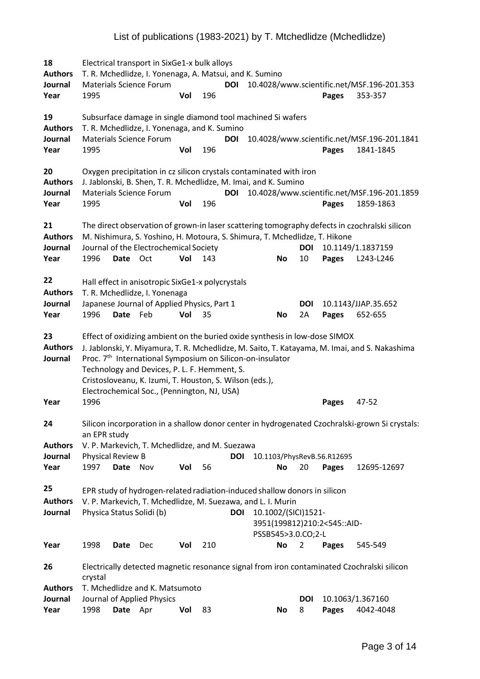18 Electrical transport in SixGe1-x bulk alloys **Authors** T. R. Mchedlidze, I. Yonenaga, A. Matsui, and K. Sumino **Journal** Materials Science Forum **DOI** 10.4028/www.scientific.net/MSF.196-201.353 **Year** 1995 **Vol** 196 **Pages** 353-357 **19** Subsurface damage in single diamond tool machined Si wafers **Authors** T. R. Mchedlidze, I. Yonenaga, and K. Sumino **Journal** Materials Science Forum **DOI** 10.4028/www.scientific.net/MSF.196-201.1841 **Year** 1995 **Vol** 196 **Pages** 1841-1845 **20** Oxygen precipitation in cz silicon crystals contaminated with iron **Authors** J. Jablonski, B. Shen, T. R. Mchedlidze, M. Imai, and K. Sumino **Journal** Materials Science Forum **DOI** 10.4028/www.scientific.net/MSF.196-201.1859 **Year** 1995 **Vol** 196 **Pages** 1859-1863 **21** The direct observation of grown-in laser scattering tomography defects in czochralski silicon **Authors** M. Nishimura, S. Yoshino, H. Motoura, S. Shimura, T. Mchedlidze, T. Hikone **Journal** Journal of the Electrochemical Society **DOI** 10.1149/1.1837159 **Year** 1996 **Date** Oct **Vol** 143 **No** 10 **Pages** L243-L246 **22** Hall effect in anisotropic SixGe1-x polycrystals **Authors** T. R. Mchedlidze, I. Yonenaga **Journal** Japanese Journal of Applied Physics, Part 1 **DOI** 10.1143/JJAP.35.652 **Year** 1996 **Date** Feb **Vol** 35 **No** 2A **Pages** 652-655 **23** Effect of oxidizing ambient on the buried oxide synthesisin low-dose SIMOX **Authors** J. Jablonski, Y. Miyamura, T. R. Mchedlidze, M. Saito, T. Katayama, M. Imai, and S. Nakashima **Journal** Proc. 7<sup>th</sup> International Symposium on Silicon-on-insulator Technology and Devices, P. L. F. Hemment, S. Cristosloveanu, K. Izumi, T. Houston, S. Wilson (eds.), Electrochemical Soc., (Pennington, NJ, USA) **Year** 1996 **Pages** 47-52 **24** Silicon incorporation in a shallow donor center in hydrogenated Czochralski-grown Si crystals: an EPR study **Authors** V. P. Markevich, T. Mchedlidze, and M. Suezawa **Journal** Physical Review B **DOI** 10.1103/PhysRevB.56.R12695 **Year** 1997 **Date** Nov **Vol** 56 **No** 20 **Pages** 12695-12697 **25** EPR study of hydrogen-related radiation-induced shallow donors in silicon **Authors** V. P. Markevich, T. Mchedlidze, M. Suezawa, and L. I. Murin **Journal** Physica Status Solidi (b) **DOI** 10.1002/(SICI)1521-3951(199812)210:2<545::AID-PSSB545>3.0.CO;2-L **Year** 1998 **Date** Dec **Vol** 210 **No** 2 **Pages** 545-549 **26** Electrically detected magnetic resonance signal from iron contaminated Czochralski silicon crystal **Authors** T. Mchedlidze and K. Matsumoto **Journal** Journal of Applied Physics **DOI** 10.1063/1.367160 **Year** 1998 **Date** Apr **Vol** 83 **No** 8 **Pages** 4042-4048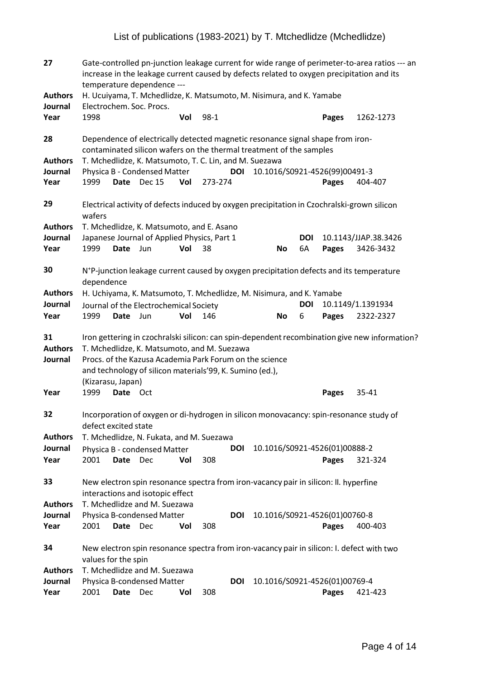| 27                                | Gate-controlled pn-junction leakage current for wide range of perimeter-to-area ratios --- an<br>increase in the leakage current caused by defects related to oxygen precipitation and its<br>temperature dependence --- |             |                                                                                                                                                                    |     |         |            |           |                  |                                        |                                                                                                      |  |
|-----------------------------------|--------------------------------------------------------------------------------------------------------------------------------------------------------------------------------------------------------------------------|-------------|--------------------------------------------------------------------------------------------------------------------------------------------------------------------|-----|---------|------------|-----------|------------------|----------------------------------------|------------------------------------------------------------------------------------------------------|--|
| <b>Authors</b>                    |                                                                                                                                                                                                                          |             | H. Ucuiyama, T. Mchedlidze, K. Matsumoto, M. Nisimura, and K. Yamabe                                                                                               |     |         |            |           |                  |                                        |                                                                                                      |  |
| Journal<br>Year                   | 1998                                                                                                                                                                                                                     |             | Electrochem. Soc. Procs.                                                                                                                                           | Vol | $98-1$  |            |           |                  | Pages                                  | 1262-1273                                                                                            |  |
| 28                                |                                                                                                                                                                                                                          |             | Dependence of electrically detected magnetic resonance signal shape from iron-<br>contaminated silicon wafers on the thermal treatment of the samples              |     |         |            |           |                  |                                        |                                                                                                      |  |
| <b>Authors</b><br>Journal<br>Year | 1999                                                                                                                                                                                                                     |             | T. Mchedlidze, K. Matsumoto, T. C. Lin, and M. Suezawa<br>Physica B - Condensed Matter<br>Date Dec 15                                                              | Vol | 273-274 | <b>DOI</b> |           |                  | 10.1016/S0921-4526(99)00491-3<br>Pages | 404-407                                                                                              |  |
| 29                                |                                                                                                                                                                                                                          |             |                                                                                                                                                                    |     |         |            |           |                  |                                        | Electrical activity of defects induced by oxygen precipitation in Czochralski-grown silicon          |  |
| <b>Authors</b><br>Journal<br>Year | wafers<br>1999                                                                                                                                                                                                           | Date        | T. Mchedlidze, K. Matsumoto, and E. Asano<br>Japanese Journal of Applied Physics, Part 1<br>Jun                                                                    | Vol | 38      |            | <b>No</b> | <b>DOI</b><br>6A | Pages                                  | 10.1143/JJAP.38.3426<br>3426-3432                                                                    |  |
| 30                                | dependence                                                                                                                                                                                                               |             |                                                                                                                                                                    |     |         |            |           |                  |                                        | N <sup>+</sup> P-junction leakage current caused by oxygen precipitation defects and its temperature |  |
| <b>Authors</b><br>Journal<br>Year | 1999                                                                                                                                                                                                                     | Date        | H. Uchiyama, K. Matsumoto, T. Mchedlidze, M. Nisimura, and K. Yamabe<br>Journal of the Electrochemical Society<br>Jun                                              | Vol | 146     |            | <b>No</b> | <b>DOI</b><br>6  | Pages                                  | 10.1149/1.1391934<br>2322-2327                                                                       |  |
| 31<br><b>Authors</b><br>Journal   | (Kizarasu, Japan)                                                                                                                                                                                                        |             | T. Mchedlidze, K. Matsumoto, and M. Suezawa<br>Procs. of the Kazusa Academia Park Forum on the science<br>and technology of silicon materials'99, K. Sumino (ed.), |     |         |            |           |                  |                                        | Iron gettering in czochralski silicon: can spin-dependent recombination give new information?        |  |
| Year                              | 1999                                                                                                                                                                                                                     | Date Oct    |                                                                                                                                                                    |     |         |            |           |                  | <b>Pages</b>                           | 35-41                                                                                                |  |
| 32                                | defect excited state                                                                                                                                                                                                     |             |                                                                                                                                                                    |     |         |            |           |                  |                                        | Incorporation of oxygen or di-hydrogen in silicon monovacancy: spin-resonance study of               |  |
| <b>Authors</b>                    |                                                                                                                                                                                                                          |             | T. Mchedlidze, N. Fukata, and M. Suezawa                                                                                                                           |     |         |            |           |                  |                                        |                                                                                                      |  |
| Journal                           |                                                                                                                                                                                                                          |             | Physica B - condensed Matter                                                                                                                                       |     |         | <b>DOI</b> |           |                  | 10.1016/S0921-4526(01)00888-2          |                                                                                                      |  |
| Year                              | 2001                                                                                                                                                                                                                     | <b>Date</b> | Dec                                                                                                                                                                | Vol | 308     |            |           |                  | Pages                                  | 321-324                                                                                              |  |
| 33                                |                                                                                                                                                                                                                          |             | New electron spin resonance spectra from iron-vacancy pair in silicon: II. hyperfine<br>interactions and isotopic effect                                           |     |         |            |           |                  |                                        |                                                                                                      |  |
| <b>Authors</b>                    |                                                                                                                                                                                                                          |             | T. Mchedlidze and M. Suezawa                                                                                                                                       |     |         |            |           |                  |                                        |                                                                                                      |  |
| Journal<br>Year                   | 2001                                                                                                                                                                                                                     | Date        | Physica B-condensed Matter<br>Dec                                                                                                                                  | Vol | 308     | DOI        |           |                  | 10.1016/S0921-4526(01)00760-8<br>Pages | 400-403                                                                                              |  |
| 34                                |                                                                                                                                                                                                                          |             |                                                                                                                                                                    |     |         |            |           |                  |                                        | New electron spin resonance spectra from iron-vacancy pair in silicon: I. defect with two            |  |
| <b>Authors</b><br>Journal<br>Year | values for the spin<br>2001                                                                                                                                                                                              | Date        | T. Mchedlidze and M. Suezawa<br>Physica B-condensed Matter<br>Dec                                                                                                  | Vol | 308     | <b>DOI</b> |           |                  | 10.1016/S0921-4526(01)00769-4<br>Pages | 421-423                                                                                              |  |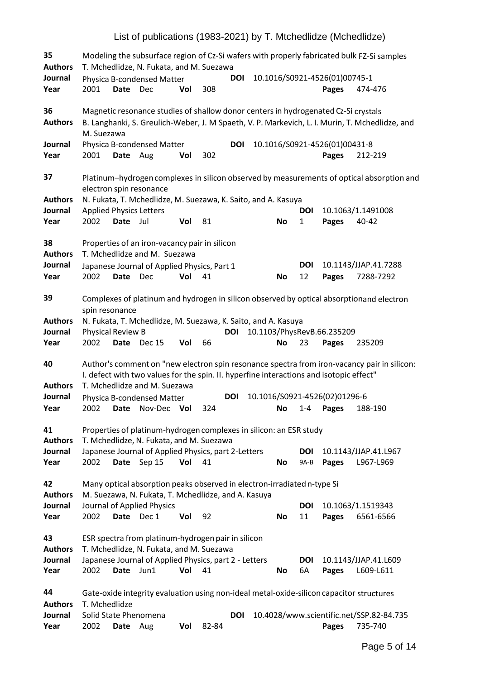| 35<br><b>Authors</b>              |                                        |             | T. Mchedlidze, N. Fukata, and M. Suezawa                                                                                                                |     |       |            |           |                            |                                        | Modeling the subsurface region of Cz-Si wafers with properly fabricated bulk FZ-Si samples     |
|-----------------------------------|----------------------------------------|-------------|---------------------------------------------------------------------------------------------------------------------------------------------------------|-----|-------|------------|-----------|----------------------------|----------------------------------------|------------------------------------------------------------------------------------------------|
| Journal<br>Year                   | 2001                                   | <b>Date</b> | Physica B-condensed Matter<br>Dec                                                                                                                       | Vol | 308   | <b>DOI</b> |           |                            | 10.1016/S0921-4526(01)00745-1<br>Pages | 474-476                                                                                        |
| 36<br><b>Authors</b>              | M. Suezawa                             |             | Magnetic resonance studies of shallow donor centers in hydrogenated Cz-Si crystals                                                                      |     |       |            |           |                            |                                        | B. Langhanki, S. Greulich-Weber, J. M Spaeth, V. P. Markevich, L. I. Murin, T. Mchedlidze, and |
| Journal<br>Year                   | 2001                                   | Date Aug    | Physica B-condensed Matter                                                                                                                              | Vol | 302   | <b>DOI</b> |           |                            | 10.1016/S0921-4526(01)00431-8<br>Pages | 212-219                                                                                        |
| 37                                |                                        |             | electron spin resonance                                                                                                                                 |     |       |            |           |                            |                                        | Platinum-hydrogen complexes in silicon observed by measurements of optical absorption and      |
| <b>Authors</b><br>Journal<br>Year | <b>Applied Physics Letters</b><br>2002 | Date Jul    | N. Fukata, T. Mchedlidze, M. Suezawa, K. Saito, and A. Kasuya                                                                                           | Vol | 81    |            | <b>No</b> | <b>DOI</b><br>$\mathbf{1}$ | Pages                                  | 10.1063/1.1491008<br>40-42                                                                     |
| 38<br><b>Authors</b>              |                                        |             | Properties of an iron-vacancy pair in silicon<br>T. Mchedlidze and M. Suezawa                                                                           |     |       |            |           |                            |                                        |                                                                                                |
| Journal<br>Year                   | 2002                                   | Date Dec    | Japanese Journal of Applied Physics, Part 1                                                                                                             | Vol | 41    |            | No        | <b>DOI</b><br>12           | Pages                                  | 10.1143/JJAP.41.7288<br>7288-7292                                                              |
| 39                                | spin resonance                         |             |                                                                                                                                                         |     |       |            |           |                            |                                        | Complexes of platinum and hydrogen in silicon observed by optical absorptionand electron       |
| <b>Authors</b><br>Journal<br>Year | Physical Review B<br>2002              | Date        | N. Fukata, T. Mchedlidze, M. Suezawa, K. Saito, and A. Kasuya<br><b>Dec 15</b>                                                                          | Vol | 66    | <b>DOI</b> | <b>No</b> | 23                         | 10.1103/PhysRevB.66.235209<br>Pages    | 235209                                                                                         |
| 40                                |                                        |             | I. defect with two values for the spin. II. hyperfine interactions and isotopic effect"                                                                 |     |       |            |           |                            |                                        | Author's comment on "new electron spin resonance spectra from iron-vacancy pair in silicon:    |
| <b>Authors</b>                    |                                        |             | T. Mchedlidze and M. Suezawa                                                                                                                            |     |       | <b>DOI</b> |           |                            | 10.1016/S0921-4526(02)01296-6          |                                                                                                |
| Journal<br>Year                   | 2002                                   |             | Physica B-condensed Matter<br>Date Nov-Dec Vol                                                                                                          |     | 324   |            | No        |                            | 1-4 Pages                              | 188-190                                                                                        |
| 41<br><b>Authors</b>              |                                        |             | Properties of platinum-hydrogen complexes in silicon: an ESR study<br>T. Mchedlidze, N. Fukata, and M. Suezawa                                          |     |       |            |           |                            |                                        |                                                                                                |
| Journal<br>Year                   | 2002                                   | <b>Date</b> | Japanese Journal of Applied Physics, part 2-Letters<br>Sep 15                                                                                           | Vol | 41    |            | <b>No</b> | <b>DOI</b><br>9A-B         | Pages                                  | 10.1143/JJAP.41.L967<br>L967-L969                                                              |
| 42<br><b>Authors</b>              |                                        |             | Many optical absorption peaks observed in electron-irradiated n-type Si<br>M. Suezawa, N. Fukata, T. Mchedlidze, and A. Kasuya                          |     |       |            |           |                            |                                        |                                                                                                |
| Journal<br>Year                   | 2002                                   | Date Dec 1  | Journal of Applied Physics                                                                                                                              | Vol | 92    |            | <b>No</b> | DOI<br>11                  | Pages                                  | 10.1063/1.1519343<br>6561-6566                                                                 |
| 43<br><b>Authors</b><br>Journal   |                                        |             | ESR spectra from platinum-hydrogen pair in silicon<br>T. Mchedlidze, N. Fukata, and M. Suezawa<br>Japanese Journal of Applied Physics, part 2 - Letters |     |       |            |           | DOI                        |                                        | 10.1143/JJAP.41.L609                                                                           |
| Year                              | 2002                                   | Date        | Jun1                                                                                                                                                    | Vol | 41    |            | No        | 6A                         | Pages                                  | L609-L611                                                                                      |
| 44<br><b>Authors</b>              | T. Mchedlidze                          |             |                                                                                                                                                         |     |       |            |           |                            |                                        | Gate-oxide integrity evaluation using non-ideal metal-oxide-silicon capacitor structures       |
| Journal<br>Year                   | 2002                                   | <b>Date</b> | Solid State Phenomena<br>Aug                                                                                                                            | Vol | 82-84 | <b>DOI</b> |           |                            | <b>Pages</b>                           | 10.4028/www.scientific.net/SSP.82-84.735<br>735-740                                            |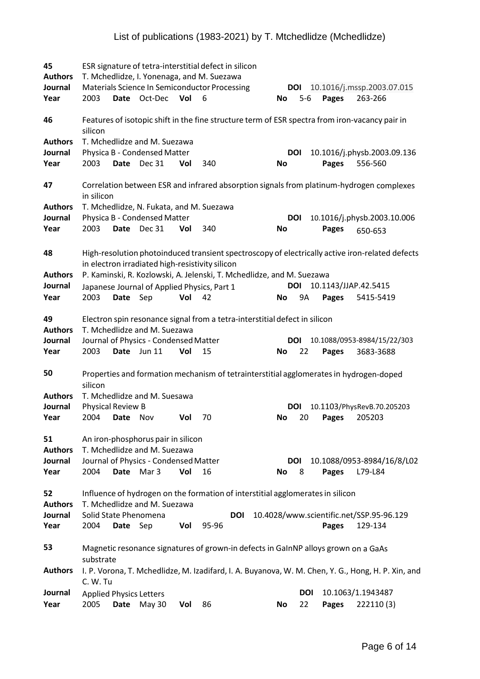| 45<br><b>Authors</b> |                                |             |                                                                    |     | ESR signature of tetra-interstitial defect in silicon<br>T. Mchedlidze, I. Yonenaga, and M. Suezawa |                         |            |                      |                                                                                                    |
|----------------------|--------------------------------|-------------|--------------------------------------------------------------------|-----|-----------------------------------------------------------------------------------------------------|-------------------------|------------|----------------------|----------------------------------------------------------------------------------------------------|
| Journal<br>Year      | 2003                           |             | Date Oct-Dec                                                       | Vol | Materials Science In Semiconductor Processing<br>- 6                                                | DOI<br><b>No</b>        | $5-6$      | Pages                | 10.1016/j.mssp.2003.07.015<br>263-266                                                              |
| 46                   | silicon                        |             |                                                                    |     |                                                                                                     |                         |            |                      | Features of isotopic shift in the fine structure term of ESR spectra from iron-vacancy pair in     |
| <b>Authors</b>       |                                |             | T. Mchedlidze and M. Suezawa                                       |     |                                                                                                     |                         |            |                      |                                                                                                    |
| Journal<br>Year      | 2003                           | Date        | Physica B - Condensed Matter<br>Dec 31                             | Vol | 340                                                                                                 | <b>DOI</b><br><b>No</b> |            | Pages                | 10.1016/j.physb.2003.09.136<br>556-560                                                             |
| 47                   | in silicon                     |             |                                                                    |     |                                                                                                     |                         |            |                      | Correlation between ESR and infrared absorption signals from platinum-hydrogen complexes           |
| <b>Authors</b>       |                                |             | T. Mchedlidze, N. Fukata, and M. Suezawa                           |     |                                                                                                     |                         |            |                      |                                                                                                    |
| Journal<br>Year      | 2003                           | Date        | Physica B - Condensed Matter<br><b>Dec 31</b>                      | Vol | 340                                                                                                 | <b>DOI</b><br>No        |            | <b>Pages</b>         | 10.1016/j.physb.2003.10.006                                                                        |
|                      |                                |             |                                                                    |     |                                                                                                     |                         |            |                      | 650-653                                                                                            |
| 48                   |                                |             | in electron irradiated high-resistivity silicon                    |     |                                                                                                     |                         |            |                      | High-resolution photoinduced transient spectroscopy of electrically active iron-related defects    |
| <b>Authors</b>       |                                |             |                                                                    |     | P. Kaminski, R. Kozlowski, A. Jelenski, T. Mchedlidze, and M. Suezawa                               |                         |            |                      |                                                                                                    |
| Journal              |                                |             | Japanese Journal of Applied Physics, Part 1                        |     |                                                                                                     | <b>DOI</b>              |            | 10.1143/JJAP.42.5415 |                                                                                                    |
| Year                 | 2003                           | Date Sep    |                                                                    | Vol | 42                                                                                                  | No                      | 9A         | Pages                | 5415-5419                                                                                          |
| 49<br><b>Authors</b> |                                |             | T. Mchedlidze and M. Suezawa                                       |     | Electron spin resonance signal from a tetra-interstitial defect in silicon                          |                         |            |                      |                                                                                                    |
| Journal<br>Year      | 2003                           | Date        | Journal of Physics - Condensed Matter<br><b>Jun 11</b>             | Vol | 15                                                                                                  | <b>DOI</b><br><b>No</b> | 22         | Pages                | 10.1088/0953-8984/15/22/303<br>3683-3688                                                           |
| 50                   | silicon                        |             |                                                                    |     | Properties and formation mechanism of tetrainterstitial agglomerates in hydrogen-doped              |                         |            |                      |                                                                                                    |
| <b>Authors</b>       |                                |             | T. Mchedlidze and M. Suesawa                                       |     |                                                                                                     |                         |            |                      |                                                                                                    |
| Journal              | <b>Physical Review B</b>       |             |                                                                    |     |                                                                                                     | <b>DOI</b>              |            |                      | 10.1103/PhysRevB.70.205203                                                                         |
| Year                 | 2004                           | Date        | Nov                                                                | Vol | 70                                                                                                  | <b>No</b>               | 20         | Pages                | 205203                                                                                             |
| 51<br><b>Authors</b> |                                |             | An iron-phosphorus pair in silicon<br>T. Mchedlidze and M. Suezawa |     |                                                                                                     |                         |            |                      |                                                                                                    |
| Journal              |                                |             | Journal of Physics - Condensed Matter                              |     |                                                                                                     | DOI                     |            |                      | 10.1088/0953-8984/16/8/L02                                                                         |
| Year                 | 2004                           | Date Mar 3  |                                                                    | Vol | 16                                                                                                  | No                      | 8          | Pages                | L79-L84                                                                                            |
| 52<br><b>Authors</b> |                                |             | T. Mchedlidze and M. Suezawa                                       |     | Influence of hydrogen on the formation of interstitial agglomerates in silicon                      |                         |            |                      |                                                                                                    |
| Journal              | Solid State Phenomena          |             |                                                                    |     | <b>DOI</b>                                                                                          |                         |            |                      | 10.4028/www.scientific.net/SSP.95-96.129                                                           |
| Year                 | 2004                           | Date        | Sep                                                                | Vol | 95-96                                                                                               |                         |            | Pages                | 129-134                                                                                            |
| 53                   | substrate                      |             |                                                                    |     | Magnetic resonance signatures of grown-in defects in GaInNP alloys grown on a GaAs                  |                         |            |                      |                                                                                                    |
| <b>Authors</b>       | C. W. Tu                       |             |                                                                    |     |                                                                                                     |                         |            |                      | I. P. Vorona, T. Mchedlidze, M. Izadifard, I. A. Buyanova, W. M. Chen, Y. G., Hong, H. P. Xin, and |
| Journal              | <b>Applied Physics Letters</b> |             |                                                                    |     |                                                                                                     |                         | <b>DOI</b> |                      | 10.1063/1.1943487                                                                                  |
| Year                 | 2005                           | <b>Date</b> | <b>May 30</b>                                                      | Vol | 86                                                                                                  | No                      | 22         | Pages                | 222110 (3)                                                                                         |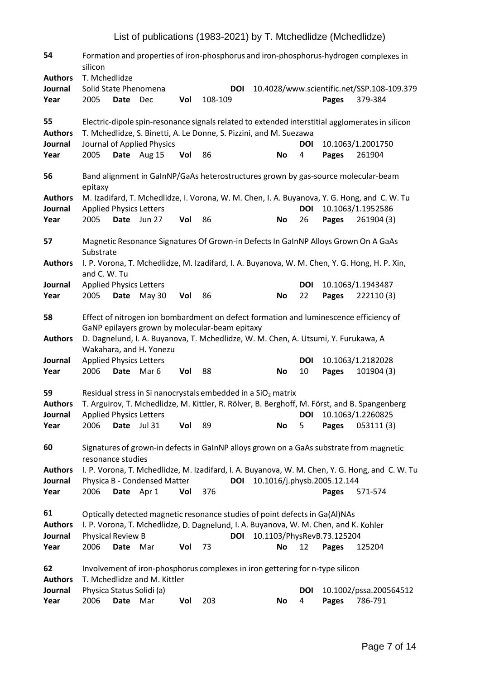| 54<br><b>Authors</b>              | Formation and properties of iron-phosphorus and iron-phosphorus-hydrogen complexes in<br>silicon<br>T. Mchedlidze |             |                                           |     |                                                                                                                                         |  |           |                  |                                      |                                                                                                                   |  |  |
|-----------------------------------|-------------------------------------------------------------------------------------------------------------------|-------------|-------------------------------------------|-----|-----------------------------------------------------------------------------------------------------------------------------------------|--|-----------|------------------|--------------------------------------|-------------------------------------------------------------------------------------------------------------------|--|--|
| Journal<br>Year                   | Solid State Phenomena<br>2005                                                                                     | <b>Date</b> | Dec                                       | Vol | <b>DOI</b><br>108-109                                                                                                                   |  |           |                  | Pages                                | 10.4028/www.scientific.net/SSP.108-109.379<br>379-384                                                             |  |  |
| 55<br><b>Authors</b>              |                                                                                                                   |             |                                           |     | T. Mchedlidze, S. Binetti, A. Le Donne, S. Pizzini, and M. Suezawa                                                                      |  |           |                  |                                      | Electric-dipole spin-resonance signals related to extended interstitial agglomerates in silicon                   |  |  |
| Journal<br>Year                   | 2005                                                                                                              |             | Journal of Applied Physics<br>Date Aug 15 | Vol | 86                                                                                                                                      |  | No        | <b>DOI</b><br>4  | <b>Pages</b>                         | 10.1063/1.2001750<br>261904                                                                                       |  |  |
| 56                                | epitaxy                                                                                                           |             |                                           |     | Band alignment in GaInNP/GaAs heterostructures grown by gas-source molecular-beam                                                       |  |           |                  |                                      |                                                                                                                   |  |  |
| <b>Authors</b><br>Journal         | <b>Applied Physics Letters</b>                                                                                    |             |                                           |     |                                                                                                                                         |  |           | <b>DOI</b>       |                                      | M. Izadifard, T. Mchedlidze, I. Vorona, W. M. Chen, I. A. Buyanova, Y. G. Hong, and C. W. Tu<br>10.1063/1.1952586 |  |  |
| Year                              | 2005                                                                                                              |             | Date Jun 27                               | Vol | 86                                                                                                                                      |  | <b>No</b> | 26               | Pages                                | 261904 (3)                                                                                                        |  |  |
| 57                                | Substrate                                                                                                         |             |                                           |     | Magnetic Resonance Signatures Of Grown-in Defects In GalnNP Alloys Grown On A GaAs                                                      |  |           |                  |                                      |                                                                                                                   |  |  |
| <b>Authors</b>                    | and C. W. Tu                                                                                                      |             |                                           |     |                                                                                                                                         |  |           |                  |                                      | I. P. Vorona, T. Mchedlidze, M. Izadifard, I. A. Buyanova, W. M. Chen, Y. G. Hong, H. P. Xin,                     |  |  |
| Journal<br>Year                   | <b>Applied Physics Letters</b><br>2005                                                                            | Date        | <b>May 30</b>                             | Vol | 86                                                                                                                                      |  | No        | <b>DOI</b><br>22 | <b>Pages</b>                         | 10.1063/1.1943487<br>222110(3)                                                                                    |  |  |
| 58                                |                                                                                                                   |             |                                           |     | Effect of nitrogen ion bombardment on defect formation and luminescence efficiency of<br>GaNP epilayers grown by molecular-beam epitaxy |  |           |                  |                                      |                                                                                                                   |  |  |
| <b>Authors</b>                    |                                                                                                                   |             | Wakahara, and H. Yonezu                   |     | D. Dagnelund, I. A. Buyanova, T. Mchedlidze, W. M. Chen, A. Utsumi, Y. Furukawa, A                                                      |  |           |                  |                                      |                                                                                                                   |  |  |
| Journal<br>Year                   | <b>Applied Physics Letters</b><br>2006                                                                            | Date Mar 6  |                                           | Vol | 88                                                                                                                                      |  | <b>No</b> | <b>DOI</b><br>10 | Pages                                | 10.1063/1.2182028<br>101904 (3)                                                                                   |  |  |
| 59<br><b>Authors</b>              |                                                                                                                   |             |                                           |     | Residual stress in Si nanocrystals embedded in a $SiO2$ matrix                                                                          |  |           |                  |                                      | T. Arguirov, T. Mchedlidze, M. Kittler, R. Rölver, B. Berghoff, M. Först, and B. Spangenberg                      |  |  |
| Journal<br>Year                   | <b>Applied Physics Letters</b><br>2006                                                                            | Date Jul 31 |                                           | Vol | 89                                                                                                                                      |  | No        | <b>DOI</b><br>5  | Pages                                | 10.1063/1.2260825<br>053111(3)                                                                                    |  |  |
| 60                                | resonance studies                                                                                                 |             |                                           |     | Signatures of grown-in defects in GalnNP alloys grown on a GaAs substrate from magnetic                                                 |  |           |                  |                                      |                                                                                                                   |  |  |
| <b>Authors</b><br>Journal<br>Year | 2006                                                                                                              | Date Apr 1  | Physica B - Condensed Matter              | Vol | <b>DOI</b><br>376                                                                                                                       |  |           |                  | 10.1016/j.physb.2005.12.144<br>Pages | I. P. Vorona, T. Mchedlidze, M. Izadifard, I. A. Buyanova, W. M. Chen, Y. G. Hong, and C. W. Tu<br>571-574        |  |  |
| 61                                |                                                                                                                   |             |                                           |     | Optically detected magnetic resonance studies of point defects in Ga(Al)NAs                                                             |  |           |                  |                                      |                                                                                                                   |  |  |
| <b>Authors</b><br>Journal         | Physical Review B                                                                                                 |             |                                           |     | I. P. Vorona, T. Mchedlidze, D. Dagnelund, I. A. Buyanova, W. M. Chen, and K. Kohler<br><b>DOI</b>                                      |  |           |                  | 10.1103/PhysRevB.73.125204           |                                                                                                                   |  |  |
| Year                              | 2006                                                                                                              | Date        | Mar                                       | Vol | 73                                                                                                                                      |  | <b>No</b> | 12               | Pages                                | 125204                                                                                                            |  |  |
| 62                                |                                                                                                                   |             |                                           |     | Involvement of iron-phosphorus complexes in iron gettering for n-type silicon                                                           |  |           |                  |                                      |                                                                                                                   |  |  |
| <b>Authors</b><br>Journal<br>Year | Physica Status Solidi (a)<br>2006                                                                                 | <b>Date</b> | T. Mchedlidze and M. Kittler<br>Mar       | Vol | 203                                                                                                                                     |  | <b>No</b> | <b>DOI</b><br>4  | Pages                                | 10.1002/pssa.200564512<br>786-791                                                                                 |  |  |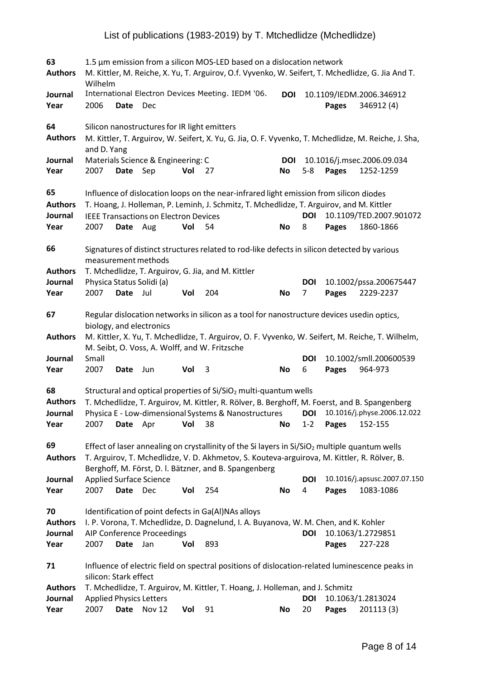| 63<br><b>Authors</b>                    | 1.5 µm emission from a silicon MOS-LED based on a dislocation network<br>M. Kittler, M. Reiche, X. Yu, T. Arguirov, O.f. Vyvenko, W. Seifert, T. Mchedlidze, G. Jia And T.<br>Wilhelm |             |                                              |     |                                                                                                                                                                                                                                                                   |                  |                 |              |                                           |  |  |  |
|-----------------------------------------|---------------------------------------------------------------------------------------------------------------------------------------------------------------------------------------|-------------|----------------------------------------------|-----|-------------------------------------------------------------------------------------------------------------------------------------------------------------------------------------------------------------------------------------------------------------------|------------------|-----------------|--------------|-------------------------------------------|--|--|--|
| Journal<br>Year                         | 2006                                                                                                                                                                                  | <b>Date</b> | Dec                                          |     | International Electron Devices Meeting. IEDM '06.                                                                                                                                                                                                                 | <b>DOI</b>       |                 | Pages        | 10.1109/IEDM.2006.346912<br>346912 (4)    |  |  |  |
| 64<br><b>Authors</b>                    | and D. Yang                                                                                                                                                                           |             | Silicon nanostructures for IR light emitters |     | M. Kittler, T. Arguirov, W. Seifert, X. Yu, G. Jia, O. F. Vyvenko, T. Mchedlidze, M. Reiche, J. Sha,                                                                                                                                                              |                  |                 |              |                                           |  |  |  |
| Journal<br>Year                         | 2007                                                                                                                                                                                  | Date Sep    | Materials Science & Engineering: C           | Vol | 27                                                                                                                                                                                                                                                                | <b>DOI</b><br>No | $5 - 8$         | Pages        | 10.1016/j.msec.2006.09.034<br>1252-1259   |  |  |  |
| 65<br><b>Authors</b><br>Journal<br>Year | 2007                                                                                                                                                                                  | Date Aug    | <b>IEEE Transactions on Electron Devices</b> | Vol | Influence of dislocation loops on the near-infrared light emission from silicon diodes<br>T. Hoang, J. Holleman, P. Leminh, J. Schmitz, T. Mchedlidze, T. Arguirov, and M. Kittler<br>54                                                                          | No               | <b>DOI</b><br>8 | Pages        | 10.1109/TED.2007.901072<br>1860-1866      |  |  |  |
| 66                                      |                                                                                                                                                                                       |             | measurement methods                          |     | Signatures of distinct structures related to rod-like defects in silicon detected by various                                                                                                                                                                      |                  |                 |              |                                           |  |  |  |
| <b>Authors</b><br>Journal<br>Year       | Physica Status Solidi (a)<br>2007                                                                                                                                                     | Date Jul    |                                              | Vol | T. Mchedlidze, T. Arguirov, G. Jia, and M. Kittler<br>204                                                                                                                                                                                                         | No               | <b>DOI</b><br>7 | Pages        | 10.1002/pssa.200675447<br>2229-2237       |  |  |  |
| 67<br><b>Authors</b>                    |                                                                                                                                                                                       |             | biology, and electronics                     |     | Regular dislocation networks in silicon as a tool for nanostructure devices usedin optics,<br>M. Kittler, X. Yu, T. Mchedlidze, T. Arguirov, O. F. Vyvenko, W. Seifert, M. Reiche, T. Wilhelm,<br>M. Seibt, O. Voss, A. Wolff, and W. Fritzsche                   |                  |                 |              |                                           |  |  |  |
| Journal<br>Year                         | Small<br>2007                                                                                                                                                                         | Date        | Jun                                          | Vol | 3                                                                                                                                                                                                                                                                 | <b>No</b>        | <b>DOI</b><br>6 | Pages        | 10.1002/smll.200600539<br>964-973         |  |  |  |
| 68<br><b>Authors</b><br>Journal<br>Year | 2007                                                                                                                                                                                  | Date        | Apr                                          | Vol | Structural and optical properties of Si/SiO <sub>2</sub> multi-quantum wells<br>T. Mchedlidze, T. Arguirov, M. Kittler, R. Rölver, B. Berghoff, M. Foerst, and B. Spangenberg<br>Physica E - Low-dimensional Systems & Nanostructures<br>38                       | <b>No</b>        | DOI<br>$1 - 2$  | <b>Pages</b> | 10.1016/j.physe.2006.12.022<br>152-155    |  |  |  |
| 69<br><b>Authors</b>                    |                                                                                                                                                                                       |             |                                              |     | Effect of laser annealing on crystallinity of the Si layers in Si/SiO <sub>2</sub> multiple quantum wells<br>T. Arguirov, T. Mchedlidze, V. D. Akhmetov, S. Kouteva-arguirova, M. Kittler, R. Rölver, B.<br>Berghoff, M. Först, D. I. Bätzner, and B. Spangenberg |                  |                 |              |                                           |  |  |  |
| Journal<br>Year                         | 2007                                                                                                                                                                                  | Date        | <b>Applied Surface Science</b><br>Dec        | Vol | 254                                                                                                                                                                                                                                                               | <b>No</b>        | <b>DOI</b><br>4 | Pages        | 10.1016/j.apsusc.2007.07.150<br>1083-1086 |  |  |  |
| 70<br><b>Authors</b><br>Journal<br>Year | 2007                                                                                                                                                                                  | Date        | AIP Conference Proceedings<br>Jan            | Vol | Identification of point defects in Ga(Al)NAs alloys<br>I. P. Vorona, T. Mchedlidze, D. Dagnelund, I. A. Buyanova, W. M. Chen, and K. Kohler<br>893                                                                                                                |                  | <b>DOI</b>      | Pages        | 10.1063/1.2729851<br>227-228              |  |  |  |
| 71                                      | silicon: Stark effect                                                                                                                                                                 |             |                                              |     | Influence of electric field on spectral positions of dislocation-related luminescence peaks in                                                                                                                                                                    |                  |                 |              |                                           |  |  |  |
| <b>Authors</b><br>Journal<br>Year       | <b>Applied Physics Letters</b><br>2007                                                                                                                                                | <b>Date</b> | Nov 12                                       | Vol | T. Mchedlidze, T. Arguirov, M. Kittler, T. Hoang, J. Holleman, and J. Schmitz<br>91                                                                                                                                                                               | No               | DOI<br>20       | Pages        | 10.1063/1.2813024<br>201113 (3)           |  |  |  |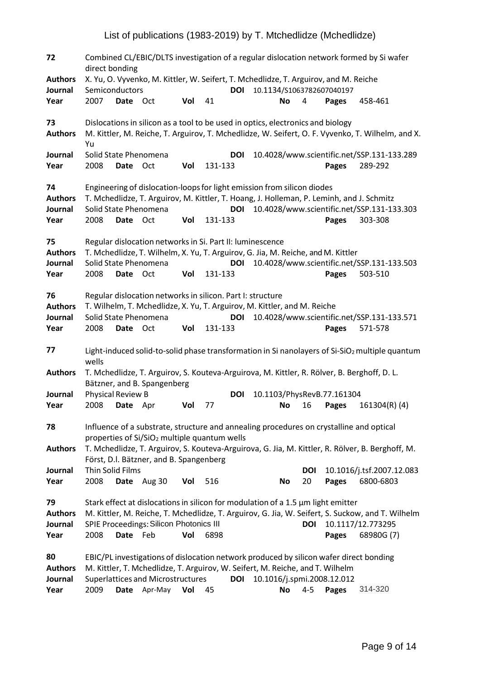**72** Combined CL/EBIC/DLTS investigation of a regular dislocation network formed by Si wafer direct bonding **Authors** X. Yu, O. Vyvenko, M. Kittler, W. Seifert, T. Mchedlidze, T. Arguirov, and M. Reiche **Journal** Semiconductors **DOI** 10.1134/S1063782607040197 **Year** 2007 **Date** Oct **Vol** 41 **No** 4 **Pages** 458-461 **73** Dislocations in silicon as a tool to be used in optics, electronics and biology **Authors** M. Kittler, M. Reiche, T. Arguirov, T. Mchedlidze, W. Seifert, O. F. Vyvenko, T. Wilhelm, and X. Yu **Journal** Solid State Phenomena **DOI** 10.4028/www.scientific.net/SSP.131-133.289 **Year** 2008 **Date** Oct **Vol** 131-133 **Pages** 289-292 **74** Engineering of dislocation-loopsfor light emission from silicon diodes **Authors** T. Mchedlidze, T. Arguirov, M. Kittler, T. Hoang, J. Holleman, P. Leminh, and J. Schmitz **Journal** Solid State Phenomena **DOI** 10.4028/www.scientific.net/SSP.131-133.303 **Year** 2008 **Date** Oct **Vol** 131-133 **Pages** 303-308 **75** Regular dislocation networksin Si. Part II: luminescence **Authors** T. Mchedlidze, T. Wilhelm, X. Yu, T. Arguirov, G. Jia, M. Reiche, and M. Kittler **Journal** Solid State Phenomena **DOI** 10.4028/www.scientific.net/SSP.131-133.503 **Year** 2008 **Date** Oct **Vol** 131-133 **Pages** 503-510 **76** Regular dislocation networksin silicon. Part I: structure **Authors** T. Wilhelm, T. Mchedlidze, X. Yu, T. Arguirov, M. Kittler, and M. Reiche **Journal** Solid State Phenomena **DOI** 10.4028/www.scientific.net/SSP.131-133.571 **Year** 2008 **Date** Oct **Vol** 131-133 **Pages** 571-578 **77** Light-induced solid-to-solid phase transformation in Si nanolayers of Si-SiO<sub>2</sub> multiple quantum wells **Authors** T. Mchedlidze, T. Arguirov, S. Kouteva-Arguirova, M. Kittler, R. Rölver, B. Berghoff, D. L. Bätzner, and B. Spangenberg **Journal** Physical Review B **DOI** 10.1103/PhysRevB.77.161304 **Year** 2008 **Date** Apr **Vol** 77 **No** 16 **Pages** 161304(R) (4) **78** Influence of a substrate, structure and annealing procedures on crystalline and optical properties of  $Si/SiO<sub>2</sub>$  multiple quantum wells **Authors** T. Mchedlidze, T. Arguirov, S. Kouteva-Arguirova, G. Jia, M. Kittler, R. Rölver, B. Berghoff, M. Först, D.l. Bätzner, and B. Spangenberg **Journal** Thin Solid Films **DOI** 10.1016/j.tsf.2007.12.083 **Year** 2008 **Date** Aug 30 **Vol** 516 **No** 20 **Pages** 6800-6803 **79** Stark effect at dislocationsin silicon for modulation of a 1.5 µm light emitter **Authors** M. Kittler, M. Reiche, T. Mchedlidze, T. Arguirov, G. Jia, W. Seifert, S. Suckow, and T. Wilhelm **Journal** SPIE Proceedings: Silicon Photonics III **DOI** 10.1117/12.773295 **Year** 2008 **Date** Feb **Vol** 6898 **Pages** 68980G (7) **80** EBIC/PL investigations of dislocation network produced by silicon wafer direct bonding **Authors** M. Kittler, T. Mchedlidze, T. Arguirov, W. Seifert, M. Reiche, and T. Wilhelm **Journal** Superlattices and Microstructures **DOI** 10.1016/j.spmi.2008.12.012 **Year** 2009 **Date** Apr-May **Vol** 45 **No** 4-5 **Pages** 314-320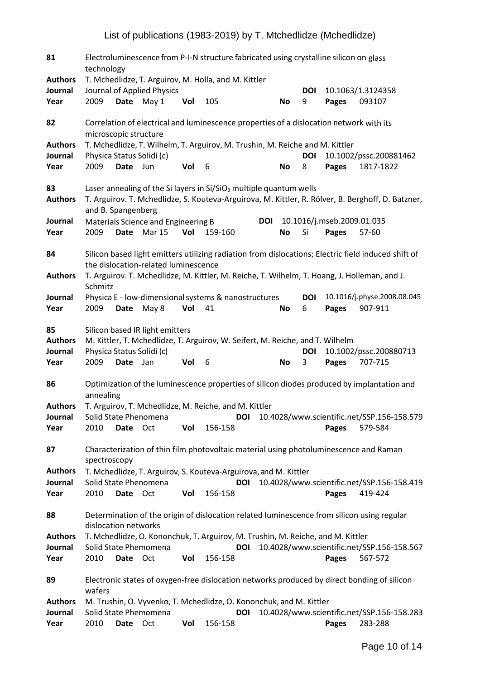| 81                                      | Electroluminescence from P-I-N structure fabricated using crystalline silicon on glass<br>technology |             |                                        |     |                                                                                              |            |           |                 |                            |                                                                                                     |  |
|-----------------------------------------|------------------------------------------------------------------------------------------------------|-------------|----------------------------------------|-----|----------------------------------------------------------------------------------------------|------------|-----------|-----------------|----------------------------|-----------------------------------------------------------------------------------------------------|--|
| <b>Authors</b>                          |                                                                                                      |             |                                        |     | T. Mchedlidze, T. Arguirov, M. Holla, and M. Kittler                                         |            |           |                 |                            |                                                                                                     |  |
| Journal                                 |                                                                                                      |             | Journal of Applied Physics             |     |                                                                                              |            |           | <b>DOI</b>      |                            | 10.1063/1.3124358                                                                                   |  |
| Year                                    | 2009                                                                                                 | <b>Date</b> | May 1                                  | Vol | 105                                                                                          |            | <b>No</b> | 9               | Pages                      | 093107                                                                                              |  |
| 82                                      | microscopic structure                                                                                |             |                                        |     | Correlation of electrical and luminescence properties of a dislocation network with its      |            |           |                 |                            |                                                                                                     |  |
| <b>Authors</b>                          |                                                                                                      |             |                                        |     | T. Mchedlidze, T. Wilhelm, T. Arguirov, M. Trushin, M. Reiche and M. Kittler                 |            |           |                 |                            |                                                                                                     |  |
| Journal                                 |                                                                                                      |             | Physica Status Solidi (c)              |     |                                                                                              |            |           | <b>DOI</b>      |                            | 10.1002/pssc.200881462                                                                              |  |
| Year                                    | 2009                                                                                                 | Date Jun    |                                        | Vol | 6                                                                                            |            | <b>No</b> | 8               | Pages                      | 1817-1822                                                                                           |  |
| 83<br><b>Authors</b>                    | and B. Spangenberg                                                                                   |             |                                        |     | Laser annealing of the Si layers in $Si/SiO2$ multiple quantum wells                         |            |           |                 |                            | T. Arguirov. T. Mchedlidze, S. Kouteva-Arguirova, M. Kittler, R. Rölver, B. Berghoff, D. Batzner,   |  |
| Journal                                 |                                                                                                      |             | Materials Science and Engineering B    |     |                                                                                              | <b>DOI</b> |           |                 | 10.1016/j.mseb.2009.01.035 |                                                                                                     |  |
| Year                                    | 2009                                                                                                 |             | Date Mar 15                            | Vol | 159-160                                                                                      |            | No        | Si              | Pages                      | 57-60                                                                                               |  |
| 84                                      |                                                                                                      |             | the dislocation-related luminescence   |     |                                                                                              |            |           |                 |                            | Silicon based light emitters utilizing radiation from dislocations; Electric field induced shift of |  |
| <b>Authors</b>                          | Schmitz                                                                                              |             |                                        |     | T. Arguirov. T. Mchedlidze, M. Kittler, M. Reiche, T. Wilhelm, T. Hoang, J. Holleman, and J. |            |           |                 |                            |                                                                                                     |  |
| Journal<br>Year                         | 2009                                                                                                 | <b>Date</b> | May 8                                  | Vol | Physica E - low-dimensional systems & nanostructures<br>41                                   |            | No        | <b>DOI</b><br>6 | Pages                      | 10.1016/j.physe.2008.08.045<br>907-911                                                              |  |
| 85<br><b>Authors</b><br>Journal<br>Year | Physica Status Solidi (c)<br>2009                                                                    | <b>Date</b> | Silicon based IR light emitters<br>Jan | Vol | M. Kittler, T. Mchedlidze, T. Arguirov, W. Seifert, M. Reiche, and T. Wilhelm<br>6           |            | <b>No</b> | <b>DOI</b><br>3 | Pages                      | 10.1002/pssc.200880713<br>707-715                                                                   |  |
| 86                                      | annealing                                                                                            |             |                                        |     |                                                                                              |            |           |                 |                            | Optimization of the luminescence properties of silicon diodes produced by implantation and          |  |
| <b>Authors</b>                          |                                                                                                      |             |                                        |     | T. Arguirov, T. Mchedlidze, M. Reiche, and M. Kittler                                        |            |           |                 |                            |                                                                                                     |  |
| Journal                                 | Solid State Phenomena                                                                                |             |                                        |     | <b>DOI</b>                                                                                   |            |           |                 |                            | 10.4028/www.scientific.net/SSP.156-158.579                                                          |  |
| Year                                    | 2010                                                                                                 | Date        | Oct                                    | Vol | 156-158                                                                                      |            |           |                 | <b>Pages</b>               | 579-584                                                                                             |  |
| 87                                      | spectroscopy                                                                                         |             |                                        |     | Characterization of thin film photovoltaic material using photoluminescence and Raman        |            |           |                 |                            |                                                                                                     |  |
| <b>Authors</b>                          |                                                                                                      |             |                                        |     | T. Mchedlidze, T. Arguirov, S. Kouteva-Arguirova, and M. Kittler                             |            |           |                 |                            |                                                                                                     |  |
| Journal                                 |                                                                                                      |             | Solid State Phenomena                  |     | <b>DOI</b>                                                                                   |            |           |                 |                            | 10.4028/www.scientific.net/SSP.156-158.419                                                          |  |
| Year                                    | 2010                                                                                                 | <b>Date</b> | Oct                                    | Vol | 156-158                                                                                      |            |           |                 | <b>Pages</b>               | 419-424                                                                                             |  |
| 88                                      | dislocation networks                                                                                 |             |                                        |     | Determination of the origin of dislocation related luminescence from silicon using regular   |            |           |                 |                            |                                                                                                     |  |
| <b>Authors</b>                          |                                                                                                      |             |                                        |     | T. Mchedlidze, O. Kononchuk, T. Arguirov, M. Trushin, M. Reiche, and M. Kittler              |            |           |                 |                            |                                                                                                     |  |
| Journal                                 |                                                                                                      |             | Solid State Phemomena                  |     | <b>DOI</b>                                                                                   |            |           |                 |                            | 10.4028/www.scientific.net/SSP.156-158.567                                                          |  |
| Year                                    | 2010                                                                                                 | Date Oct    |                                        | Vol | 156-158                                                                                      |            |           |                 | Pages                      | 567-572                                                                                             |  |
| 89                                      | wafers                                                                                               |             |                                        |     |                                                                                              |            |           |                 |                            | Electronic states of oxygen-free dislocation networks produced by direct bonding of silicon         |  |
| <b>Authors</b>                          |                                                                                                      |             |                                        |     | M. Trushin, O. Vyvenko, T. Mchedlidze, O. Kononchuk, and M. Kittler                          |            |           |                 |                            |                                                                                                     |  |
| Journal<br>Year                         | 2010                                                                                                 | Date        | Solid State Phemomena<br>Oct           | Vol | <b>DOI</b><br>156-158                                                                        |            |           |                 | Pages                      | 10.4028/www.scientific.net/SSP.156-158.283<br>283-288                                               |  |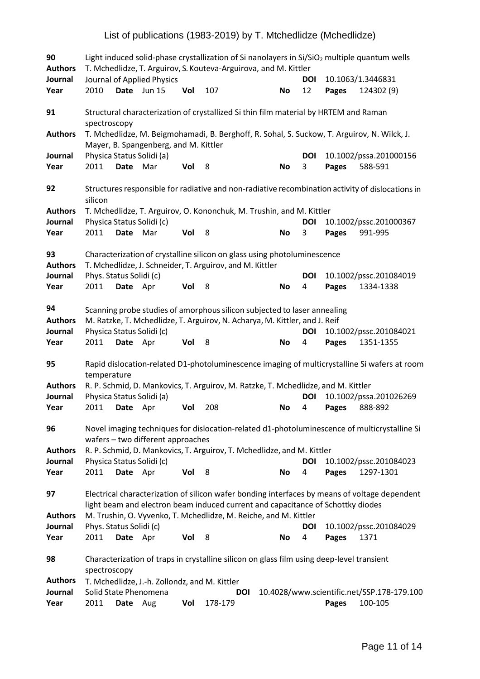| 90<br><b>Authors</b>            | Light induced solid-phase crystallization of Si nanolayers in Si/SiO <sub>2</sub> multiple quantum wells<br>T. Mchedlidze, T. Arguirov, S. Kouteva-Arguirova, and M. Kittler |             |                                               |     |                                                                                                                                                        |           |                 |       |                                                                                                  |  |  |
|---------------------------------|------------------------------------------------------------------------------------------------------------------------------------------------------------------------------|-------------|-----------------------------------------------|-----|--------------------------------------------------------------------------------------------------------------------------------------------------------|-----------|-----------------|-------|--------------------------------------------------------------------------------------------------|--|--|
| Journal                         |                                                                                                                                                                              |             | Journal of Applied Physics                    |     |                                                                                                                                                        |           | DOI             |       | 10.1063/1.3446831                                                                                |  |  |
| Year                            | 2010                                                                                                                                                                         | <b>Date</b> | <b>Jun 15</b>                                 | Vol | 107                                                                                                                                                    | <b>No</b> | 12              | Pages | 124302 (9)                                                                                       |  |  |
| 91                              | spectroscopy                                                                                                                                                                 |             |                                               |     | Structural characterization of crystallized Si thin film material by HRTEM and Raman                                                                   |           |                 |       |                                                                                                  |  |  |
| <b>Authors</b>                  |                                                                                                                                                                              |             | Mayer, B. Spangenberg, and M. Kittler         |     | T. Mchedlidze, M. Beigmohamadi, B. Berghoff, R. Sohal, S. Suckow, T. Arguirov, N. Wilck, J.                                                            |           |                 |       |                                                                                                  |  |  |
| Journal<br>Year                 | 2011                                                                                                                                                                         | Date        | Physica Status Solidi (a)<br>Mar              | Vol | 8                                                                                                                                                      | <b>No</b> | <b>DOI</b><br>3 | Pages | 10.1002/pssa.201000156<br>588-591                                                                |  |  |
| 92                              | silicon                                                                                                                                                                      |             |                                               |     |                                                                                                                                                        |           |                 |       | Structures responsible for radiative and non-radiative recombination activity of dislocations in |  |  |
| <b>Authors</b><br>Journal       | Physica Status Solidi (c)                                                                                                                                                    |             |                                               |     | T. Mchedlidze, T. Arguirov, O. Kononchuk, M. Trushin, and M. Kittler                                                                                   |           | DOI             |       | 10.1002/pssc.201000367                                                                           |  |  |
| Year                            | 2011                                                                                                                                                                         | Date Mar    |                                               | Vol | 8                                                                                                                                                      | <b>No</b> | 3               | Pages | 991-995                                                                                          |  |  |
| 93<br><b>Authors</b>            |                                                                                                                                                                              |             |                                               |     | Characterization of crystalline silicon on glass using photoluminescence<br>T. Mchedlidze, J. Schneider, T. Arguirov, and M. Kittler                   |           |                 |       |                                                                                                  |  |  |
| Journal<br>Year                 | Phys. Status Solidi (c)<br>2011                                                                                                                                              | Date Apr    |                                               | Vol | 8                                                                                                                                                      | <b>No</b> | <b>DOI</b><br>4 | Pages | 10.1002/pssc.201084019<br>1334-1338                                                              |  |  |
| 94<br><b>Authors</b><br>Journal | Physica Status Solidi (c)                                                                                                                                                    |             |                                               |     | Scanning probe studies of amorphous silicon subjected to laser annealing<br>M. Ratzke, T. Mchedlidze, T. Arguirov, N. Acharya, M. Kittler, and J. Reif |           | DOI             |       | 10.1002/pssc.201084021                                                                           |  |  |
| Year                            | 2011                                                                                                                                                                         | Date Apr    |                                               | Vol | 8                                                                                                                                                      | <b>No</b> | 4               | Pages | 1351-1355                                                                                        |  |  |
| 95                              | temperature                                                                                                                                                                  |             |                                               |     |                                                                                                                                                        |           |                 |       | Rapid dislocation-related D1-photoluminescence imaging of multicrystalline Si wafers at room     |  |  |
| <b>Authors</b>                  |                                                                                                                                                                              |             |                                               |     | R. P. Schmid, D. Mankovics, T. Arguirov, M. Ratzke, T. Mchedlidze, and M. Kittler                                                                      |           |                 |       |                                                                                                  |  |  |
| Journal<br>Year                 | Physica Status Solidi (a)<br>2011                                                                                                                                            | Date Apr    |                                               | Vol | 208                                                                                                                                                    | No        | DOI<br>4        | Pages | 10.1002/pssa.201026269<br>888-892                                                                |  |  |
| 96                              |                                                                                                                                                                              |             | wafers - two different approaches             |     |                                                                                                                                                        |           |                 |       | Novel imaging techniques for dislocation-related d1-photoluminescence of multicrystalline Si     |  |  |
| <b>Authors</b>                  |                                                                                                                                                                              |             |                                               |     | R. P. Schmid, D. Mankovics, T. Arguirov, T. Mchedlidze, and M. Kittler                                                                                 |           |                 |       |                                                                                                  |  |  |
| Journal<br>Year                 | Physica Status Solidi (c)<br>2011                                                                                                                                            | Date Apr    |                                               | Vol | 8                                                                                                                                                      | <b>No</b> | <b>DOI</b><br>4 | Pages | 10.1002/pssc.201084023<br>1297-1301                                                              |  |  |
| 97                              |                                                                                                                                                                              |             |                                               |     | light beam and electron beam induced current and capacitance of Schottky diodes                                                                        |           |                 |       | Electrical characterization of silicon wafer bonding interfaces by means of voltage dependent    |  |  |
| <b>Authors</b>                  |                                                                                                                                                                              |             |                                               |     | M. Trushin, O. Vyvenko, T. Mchedlidze, M. Reiche, and M. Kittler                                                                                       |           |                 |       |                                                                                                  |  |  |
| Journal<br>Year                 | Phys. Status Solidi (c)<br>2011                                                                                                                                              | Date Apr    |                                               | Vol | 8                                                                                                                                                      | No        | DOI<br>4        | Pages | 10.1002/pssc.201084029<br>1371                                                                   |  |  |
| 98                              | spectroscopy                                                                                                                                                                 |             |                                               |     | Characterization of traps in crystalline silicon on glass film using deep-level transient                                                              |           |                 |       |                                                                                                  |  |  |
| <b>Authors</b>                  |                                                                                                                                                                              |             | T. Mchedlidze, J.-h. Zollondz, and M. Kittler |     |                                                                                                                                                        |           |                 |       |                                                                                                  |  |  |
| Journal<br>Year                 | Solid State Phenomena<br>2011                                                                                                                                                | Date Aug    |                                               | Vol | DOI<br>178-179                                                                                                                                         |           |                 | Pages | 10.4028/www.scientific.net/SSP.178-179.100<br>100-105                                            |  |  |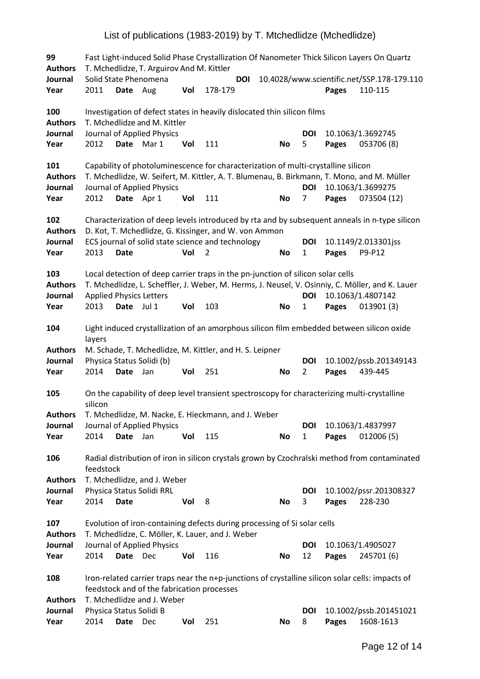**99** Fast Light-induced Solid Phase Crystallization Of Nanometer Thick Silicon Layers On Quartz **Authors** T. Mchedlidze, T. Arguirov And M. Kittler **Journal** Solid State Phenomena **DOI** 10.4028/www.scientific.net/SSP.178-179.110 **Year** 2011 **Date** Aug **Vol** 178-179 **Pages** 110-115 **100** Investigation of defect states in heavily dislocated thin silicon films **Authors** T. Mchedlidze and M. Kittler **Journal** Journal of Applied Physics **DOI** 10.1063/1.3692745 **Year** 2012 **Date** Mar 1 **Vol** 111 **No** 5 **Pages** 053706 (8) **101** Capability of photoluminescence for characterization of multi-crystalline silicon **Authors** T. Mchedlidze, W. Seifert, M. Kittler, A. T. Blumenau, B. Birkmann, T. Mono, and M. Müller **Journal** Journal of Applied Physics **DOI** 10.1063/1.3699275 **Year** 2012 Date Apr 1 Vol 111 10 No 7 Pages 073504 (12) **102** Characterization of deep levels introduced by rta and by subsequent anneals in n-type silicon **Authors** D. Kot, T. Mchedlidze, G. Kissinger, and W. von Ammon **Journal** ECS journal of solid state science and technology **DOI** 10.1149/2.013301 jss **Year** 2013 **Date Vol** 2 **No** 1 **Pages** P9-P12 **103** Local detection of deep carrier traps in the pn-junction of silicon solar cells **Authors** T. Mchedlidze, L. Scheffler, J. Weber, M. Herms, J. Neusel, V. Osinniy, C. Möller, and K. Lauer **Journal** Applied Physics Letters **DOI** 10.1063/1.4807142 **Year** 2013 **Date** Jul 1 **Vol** 103 **No** 1 **Pages** 013901 (3) **104** Light induced crystallization of an amorphous silicon film embedded between silicon oxide layers **Authors** M. Schade, T. Mchedlidze, M. Kittler, and H. S. Leipner **Journal** Physica Status Solidi (b) **DOI** 10.1002/pssb.201349143 **Year** 2014 **Date** Jan **Vol** 251 **No** 2 **Pages** 439-445 **105** On the capability of deep level transient spectroscopy for characterizing multi-crystalline silicon **Authors** T. Mchedlidze, M. Nacke, E. Hieckmann, and J. Weber **Journal** Journal of Applied Physics **DOI** 10.1063/1.4837997 **Year** 2014 **Date** Jan **Vol** 115 **No** 1 **Pages** 012006 (5) **106** Radial distribution of iron in silicon crystals grown by Czochralski method from contaminated feedstock **Authors** T. Mchedlidze, and J. Weber **Journal** Physica Status Solidi RRL **DOI** 10.1002/pssr.201308327 **Year** 2014 **Date Vol** 8 **No** 3 **Pages** 228-230 **107** Evolution of iron-containing defects during processing of Si solar cells **Authors** T. Mchedlidze, C. Möller, K. Lauer, and J. Weber **Journal** Journal of Applied Physics **DOI** 10.1063/1.4905027 **Year** 2014 **Date** Dec **Vol** 116 **No** 12 **Pages** 245701 (6) **108** Iron-related carrier traps near the n+p-junctions of crystalline silicon solar cells: impacts of feedstock and of the fabrication processes **Authors** T. Mchedlidze and J. Weber **Journal** Physica Status Solidi B **DOI** 10.1002/pssb.201451021 **Year** 2014 **Date** Dec **Vol** 251 **No** 8 **Pages** 1608-1613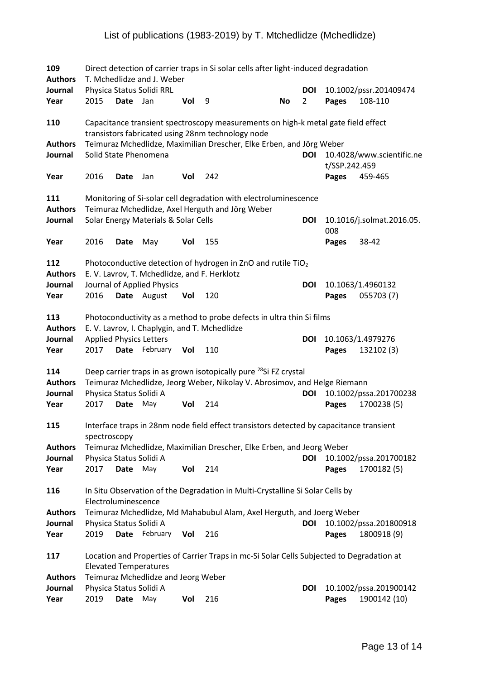| 109<br><b>Authors</b>            |                                |             | T. Mchedlidze and J. Weber                   |     | Direct detection of carrier traps in Si solar cells after light-induced degradation                                                                       |    |                       |               |                                   |
|----------------------------------|--------------------------------|-------------|----------------------------------------------|-----|-----------------------------------------------------------------------------------------------------------------------------------------------------------|----|-----------------------|---------------|-----------------------------------|
| Journal<br>Year                  | 2015                           | Date Jan    | Physica Status Solidi RRL                    | Vol | 9                                                                                                                                                         | No | DOI<br>$\overline{2}$ | Pages         | 10.1002/pssr.201409474<br>108-110 |
| 110                              |                                |             |                                              |     | Capacitance transient spectroscopy measurements on high-k metal gate field effect<br>transistors fabricated using 28nm technology node                    |    |                       |               |                                   |
| <b>Authors</b><br>Journal        |                                |             | Solid State Phenomena                        |     | Teimuraz Mchedlidze, Maximilian Drescher, Elke Erben, and Jörg Weber                                                                                      |    | DOI                   | t/SSP.242.459 | 10.4028/www.scientific.ne         |
| Year                             | 2016                           | Date        | Jan                                          | Vol | 242                                                                                                                                                       |    |                       | Pages         | 459-465                           |
| 111<br><b>Authors</b>            |                                |             |                                              |     | Monitoring of Si-solar cell degradation with electroluminescence<br>Teimuraz Mchedlidze, Axel Herguth and Jörg Weber                                      |    |                       |               |                                   |
| Journal                          |                                |             | Solar Energy Materials & Solar Cells         |     |                                                                                                                                                           |    | DOI                   | 008           | 10.1016/j.solmat.2016.05.         |
| Year                             | 2016                           | Date        | May                                          | Vol | 155                                                                                                                                                       |    |                       | Pages         | 38-42                             |
| 112<br><b>Authors</b>            |                                |             | E. V. Lavrov, T. Mchedlidze, and F. Herklotz |     | Photoconductive detection of hydrogen in ZnO and rutile TiO <sub>2</sub>                                                                                  |    |                       |               |                                   |
| Journal<br>Year                  | 2016                           |             | Journal of Applied Physics<br>Date August    | Vol | 120                                                                                                                                                       |    | <b>DOI</b>            | Pages         | 10.1063/1.4960132<br>055703 (7)   |
| 113<br><b>Authors</b><br>Journal | <b>Applied Physics Letters</b> |             |                                              |     | Photoconductivity as a method to probe defects in ultra thin Si films<br>E. V. Lavrov, I. Chaplygin, and T. Mchedlidze                                    |    | <b>DOI</b>            |               | 10.1063/1.4979276                 |
| Year                             | 2017                           |             | Date February Vol                            |     | 110                                                                                                                                                       |    |                       | Pages         | 132102 (3)                        |
| 114<br><b>Authors</b><br>Journal | Physica Status Solidi A        |             |                                              |     | Deep carrier traps in as grown isotopically pure <sup>28</sup> Si FZ crystal<br>Teimuraz Mchedlidze, Jeorg Weber, Nikolay V. Abrosimov, and Helge Riemann |    | DOI                   |               | 10.1002/pssa.201700238            |
| Year                             | 2017                           | <b>Date</b> | May                                          | Vol | 214                                                                                                                                                       |    |                       | Pages         | 1700238 (5)                       |
| 115                              | spectroscopy                   |             |                                              |     | Interface traps in 28nm node field effect transistors detected by capacitance transient                                                                   |    |                       |               |                                   |
| <b>Authors</b><br>Journal        | Physica Status Solidi A        |             |                                              |     | Teimuraz Mchedlidze, Maximilian Drescher, Elke Erben, and Jeorg Weber                                                                                     |    | <b>DOI</b>            |               | 10.1002/pssa.201700182            |
| Year                             | 2017                           | <b>Date</b> | May                                          | Vol | 214                                                                                                                                                       |    |                       | Pages         | 1700182 (5)                       |
| 116                              | Electroluminescence            |             |                                              |     | In Situ Observation of the Degradation in Multi-Crystalline Si Solar Cells by                                                                             |    |                       |               |                                   |
| <b>Authors</b><br>Journal        | Physica Status Solidi A        |             |                                              |     | Teimuraz Mchedlidze, Md Mahabubul Alam, Axel Herguth, and Joerg Weber                                                                                     |    | DOI                   |               | 10.1002/pssa.201800918            |
| Year                             | 2019                           |             | Date February                                | Vol | 216                                                                                                                                                       |    |                       | Pages         | 1800918 (9)                       |
| 117                              |                                |             | <b>Elevated Temperatures</b>                 |     | Location and Properties of Carrier Traps in mc-Si Solar Cells Subjected to Degradation at                                                                 |    |                       |               |                                   |
| <b>Authors</b><br>Journal        | Physica Status Solidi A        |             | Teimuraz Mchedlidze and Jeorg Weber          |     |                                                                                                                                                           |    | DOI                   |               | 10.1002/pssa.201900142            |
| Year                             | 2019                           | Date        | May                                          | Vol | 216                                                                                                                                                       |    |                       | Pages         | 1900142 (10)                      |